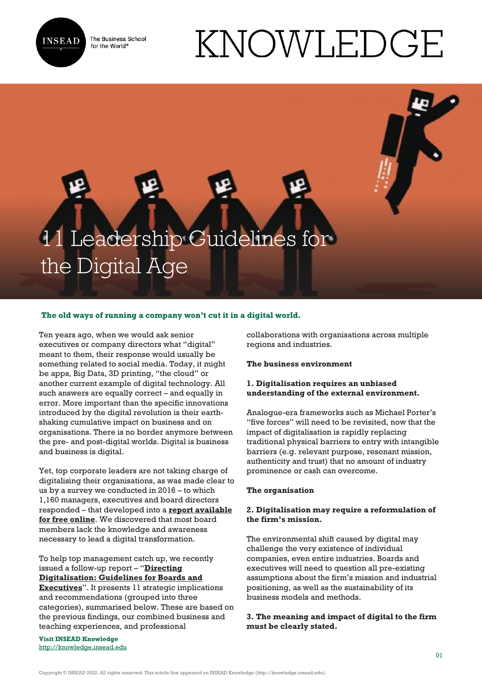

The Business School for the World<sup>®</sup>

# KNOWLEDGE

# Leadership Guidelines for the Digital Age

# **The old ways of running a company won't cut it in a digital world.**

Ten years ago, when we would ask senior executives or company directors what "digital" meant to them, their response would usually be something related to social media. Today, it might be apps, Big Data, 3D printing, "the cloud" or another current example of digital technology. All such answers are equally correct – and equally in error. More important than the specific innovations introduced by the digital revolution is their earthshaking cumulative impact on business and on organisations. There is no border anymore between the pre- and post-digital worlds. Digital is business and business is digital.

Yet, top corporate leaders are not taking charge of digitalising their organisations, as was made clear to us by a survey we conducted in 2016 – to which 1,160 managers, executives and board directors responded – that developed into a **[report available](http://www.thisfluidworld.com/our-thinking/the-real-impact-of-digital-as-seen-from-the-virtual-coalface/) [for free online](http://www.thisfluidworld.com/our-thinking/the-real-impact-of-digital-as-seen-from-the-virtual-coalface/)**. We discovered that most board members lack the knowledge and awareness necessary to lead a digital transformation.

To help top management catch up, we recently issued a follow-up report – "**[Directing](https://centres.insead.edu/corporate-governance/meeting-reports/index.cfm) [Digitalisation: Guidelines for Boards and](https://centres.insead.edu/corporate-governance/meeting-reports/index.cfm) [Executives](https://centres.insead.edu/corporate-governance/meeting-reports/index.cfm)**". It presents 11 strategic implications and recommendations (grouped into three categories), summarised below. These are based on the previous findings, our combined business and teaching experiences, and professional

**Visit INSEAD Knowledge** <http://knowledge.insead.edu>

collaborations with organisations across multiple regions and industries.

#### **The business environment**

#### **1. Digitalisation requires an unbiased understanding of the external environment.**

Analogue-era frameworks such as Michael Porter's "five forces" will need to be revisited, now that the impact of digitalisation is rapidly replacing traditional physical barriers to entry with intangible barriers (e.g. relevant purpose, resonant mission, authenticity and trust) that no amount of industry prominence or cash can overcome.

#### **The organisation**

# **2. Digitalisation may require a reformulation of the firm's mission.**

The environmental shift caused by digital may challenge the very existence of individual companies, even entire industries. Boards and executives will need to question all pre-existing assumptions about the firm's mission and industrial positioning, as well as the sustainability of its business models and methods.

# **3. The meaning and impact of digital to the firm must be clearly stated.**

Copyright © INSEAD 2022. All rights reserved. This article first appeared on INSEAD Knowledge (http://knowledge.insead.edu).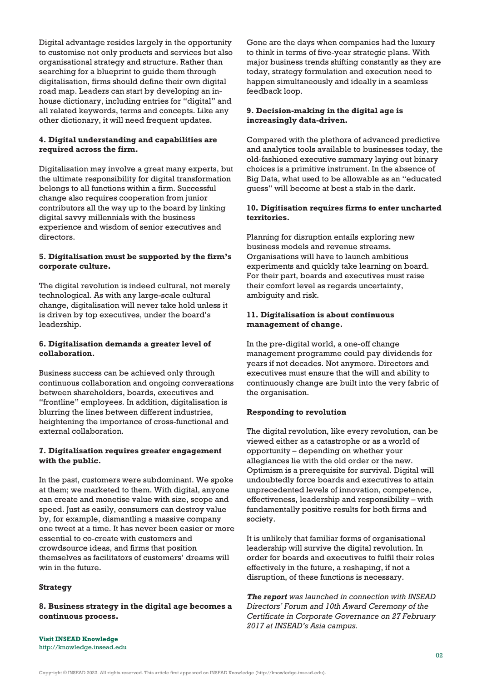Digital advantage resides largely in the opportunity to customise not only products and services but also organisational strategy and structure. Rather than searching for a blueprint to guide them through digitalisation, firms should define their own digital road map. Leaders can start by developing an inhouse dictionary, including entries for "digital" and all related keywords, terms and concepts. Like any other dictionary, it will need frequent updates.

# **4. Digital understanding and capabilities are required across the firm.**

Digitalisation may involve a great many experts, but the ultimate responsibility for digital transformation belongs to all functions within a firm. Successful change also requires cooperation from junior contributors all the way up to the board by linking digital savvy millennials with the business experience and wisdom of senior executives and directors.

#### **5. Digitalisation must be supported by the firm's corporate culture.**

The digital revolution is indeed cultural, not merely technological. As with any large-scale cultural change, digitalisation will never take hold unless it is driven by top executives, under the board's leadership.

### **6. Digitalisation demands a greater level of collaboration.**

Business success can be achieved only through continuous collaboration and ongoing conversations between shareholders, boards, executives and "frontline" employees. In addition, digitalisation is blurring the lines between different industries, heightening the importance of cross-functional and external collaboration.

# **7. Digitalisation requires greater engagement with the public.**

In the past, customers were subdominant. We spoke at them; we marketed to them. With digital, anyone can create and monetise value with size, scope and speed. Just as easily, consumers can destroy value by, for example, dismantling a massive company one tweet at a time. It has never been easier or more essential to co-create with customers and crowdsource ideas, and firms that position themselves as facilitators of customers' dreams will win in the future.

#### **Strategy**

**8. Business strategy in the digital age becomes a continuous process.**

Gone are the days when companies had the luxury to think in terms of five-year strategic plans. With major business trends shifting constantly as they are today, strategy formulation and execution need to happen simultaneously and ideally in a seamless feedback loop.

### **9. Decision-making in the digital age is increasingly data-driven.**

Compared with the plethora of advanced predictive and analytics tools available to businesses today, the old-fashioned executive summary laying out binary choices is a primitive instrument. In the absence of Big Data, what used to be allowable as an "educated guess" will become at best a stab in the dark.

#### **10. Digitisation requires firms to enter uncharted territories.**

Planning for disruption entails exploring new business models and revenue streams. Organisations will have to launch ambitious experiments and quickly take learning on board. For their part, boards and executives must raise their comfort level as regards uncertainty, ambiguity and risk.

### **11. Digitalisation is about continuous management of change.**

In the pre-digital world, a one-off change management programme could pay dividends for years if not decades. Not anymore. Directors and executives must ensure that the will and ability to continuously change are built into the very fabric of the organisation.

### **Responding to revolution**

The digital revolution, like every revolution, can be viewed either as a catastrophe or as a world of opportunity – depending on whether your allegiances lie with the old order or the new. Optimism is a prerequisite for survival. Digital will undoubtedly force boards and executives to attain unprecedented levels of innovation, competence, effectiveness, leadership and responsibility – with fundamentally positive results for both firms and society.

It is unlikely that familiar forms of organisational leadership will survive the digital revolution. In order for boards and executives to fulfil their roles effectively in the future, a reshaping, if not a disruption, of these functions is necessary.

*[The report](https://centres.insead.edu/corporate-governance/meeting-reports/index.cfm) was launched in connection with INSEAD Directors' Forum and 10th Award Ceremony of the Certificate in Corporate Governance on 27 February 2017 at INSEAD's Asia campus.*

**Visit INSEAD Knowledge** <http://knowledge.insead.edu>

Copyright © INSEAD 2022. All rights reserved. This article first appeared on INSEAD Knowledge (http://knowledge.insead.edu).